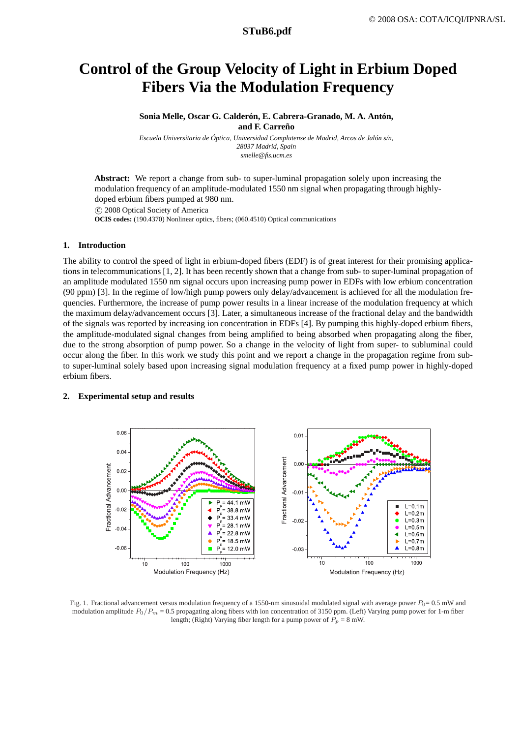# **Control of the Group Velocity of Light in Erbium Doped Fibers Via the Modulation Frequency**

**Sonia Melle, Oscar G. Calderón, E. Cabrera-Granado, M. A. Antón, and F. Carreño**

*Escuela Universitaria de Óptica, Universidad Complutense de Madrid, Arcos de Jalón s/n, 28037 Madrid, Spain smelle@fis.ucm.es*

**Abstract:** We report a change from sub- to super-luminal propagation solely upon increasing the modulation frequency of an amplitude-modulated 1550 nm signal when propagating through highlydoped erbium fibers pumped at 980 nm.

°c 2008 Optical Society of America

**OCIS codes:** (190.4370) Nonlinear optics, fibers; (060.4510) Optical communications

### **1. Introduction**

The ability to control the speed of light in erbium-doped fibers (EDF) is of great interest for their promising applications in telecommunications [1, 2]. It has been recently shown that a change from sub- to super-luminal propagation of an amplitude modulated 1550 nm signal occurs upon increasing pump power in EDFs with low erbium concentration (90 ppm) [3]. In the regime of low/high pump powers only delay/advancement is achieved for all the modulation frequencies. Furthermore, the increase of pump power results in a linear increase of the modulation frequency at which the maximum delay/advancement occurs [3]. Later, a simultaneous increase of the fractional delay and the bandwidth of the signals was reported by increasing ion concentration in EDFs [4]. By pumping this highly-doped erbium fibers, the amplitude-modulated signal changes from being amplified to being absorbed when propagating along the fiber, due to the strong absorption of pump power. So a change in the velocity of light from super- to subluminal could occur along the fiber. In this work we study this point and we report a change in the propagation regime from subto super-luminal solely based upon increasing signal modulation frequency at a fixed pump power in highly-doped erbium fibers.

#### **2. Experimental setup and results**



Fig. 1. Fractional advancement versus modulation frequency of a 1550-nm sinusoidal modulated signal with average power  $P_0$ = 0.5 mW and modulation amplitude  $P_0/P_m = 0.5$  propagating along fibers with ion concentration of 3150 ppm. (Left) Varying pump power for 1-m fiber length; (Right) Varying fiber length for a pump power of  $P_p = 8$  mW.